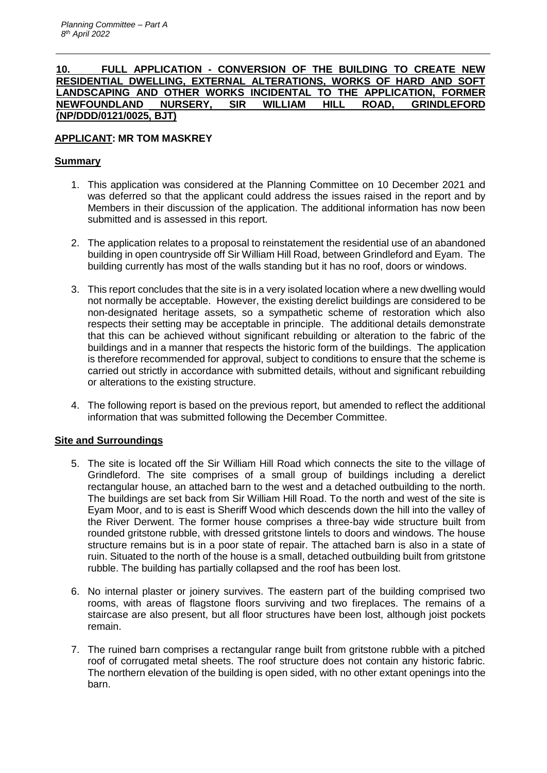## **10. FULL APPLICATION - CONVERSION OF THE BUILDING TO CREATE NEW RESIDENTIAL DWELLING, EXTERNAL ALTERATIONS, WORKS OF HARD AND SOFT LANDSCAPING AND OTHER WORKS INCIDENTAL TO THE APPLICATION, FORMER NEWFOUNDLAND NURSERY, SIR WILLIAM HILL ROAD, GRINDLEFORD (NP/DDD/0121/0025, BJT)**

# **APPLICANT: MR TOM MASKREY**

## **Summary**

- 1. This application was considered at the Planning Committee on 10 December 2021 and was deferred so that the applicant could address the issues raised in the report and by Members in their discussion of the application. The additional information has now been submitted and is assessed in this report.
- 2. The application relates to a proposal to reinstatement the residential use of an abandoned building in open countryside off Sir William Hill Road, between Grindleford and Eyam. The building currently has most of the walls standing but it has no roof, doors or windows.
- 3. This report concludes that the site is in a very isolated location where a new dwelling would not normally be acceptable. However, the existing derelict buildings are considered to be non-designated heritage assets, so a sympathetic scheme of restoration which also respects their setting may be acceptable in principle. The additional details demonstrate that this can be achieved without significant rebuilding or alteration to the fabric of the buildings and in a manner that respects the historic form of the buildings. The application is therefore recommended for approval, subject to conditions to ensure that the scheme is carried out strictly in accordance with submitted details, without and significant rebuilding or alterations to the existing structure.
- 4. The following report is based on the previous report, but amended to reflect the additional information that was submitted following the December Committee.

# **Site and Surroundings**

- 5. The site is located off the Sir William Hill Road which connects the site to the village of Grindleford. The site comprises of a small group of buildings including a derelict rectangular house, an attached barn to the west and a detached outbuilding to the north. The buildings are set back from Sir William Hill Road. To the north and west of the site is Eyam Moor, and to is east is Sheriff Wood which descends down the hill into the valley of the River Derwent. The former house comprises a three-bay wide structure built from rounded gritstone rubble, with dressed gritstone lintels to doors and windows. The house structure remains but is in a poor state of repair. The attached barn is also in a state of ruin. Situated to the north of the house is a small, detached outbuilding built from gritstone rubble. The building has partially collapsed and the roof has been lost.
- 6. No internal plaster or joinery survives. The eastern part of the building comprised two rooms, with areas of flagstone floors surviving and two fireplaces. The remains of a staircase are also present, but all floor structures have been lost, although joist pockets remain.
- 7. The ruined barn comprises a rectangular range built from gritstone rubble with a pitched roof of corrugated metal sheets. The roof structure does not contain any historic fabric. The northern elevation of the building is open sided, with no other extant openings into the barn.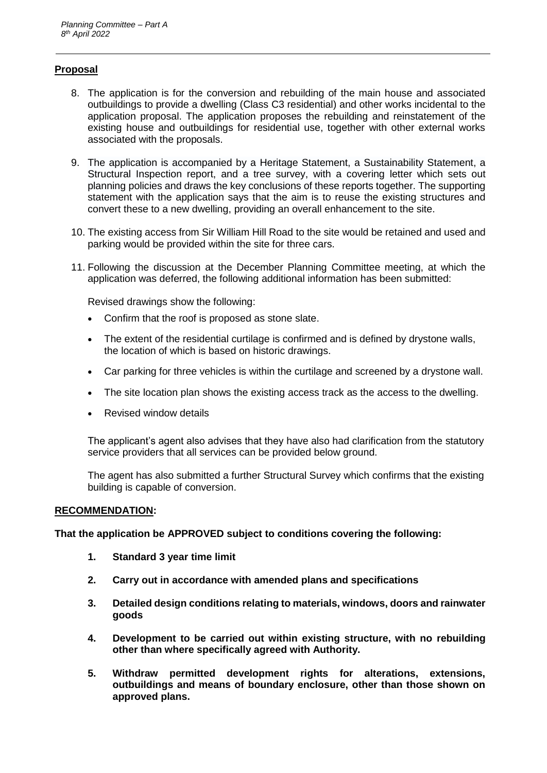## **Proposal**

- 8. The application is for the conversion and rebuilding of the main house and associated outbuildings to provide a dwelling (Class C3 residential) and other works incidental to the application proposal. The application proposes the rebuilding and reinstatement of the existing house and outbuildings for residential use, together with other external works associated with the proposals.
- 9. The application is accompanied by a Heritage Statement, a Sustainability Statement, a Structural Inspection report, and a tree survey, with a covering letter which sets out planning policies and draws the key conclusions of these reports together. The supporting statement with the application says that the aim is to reuse the existing structures and convert these to a new dwelling, providing an overall enhancement to the site.
- 10. The existing access from Sir William Hill Road to the site would be retained and used and parking would be provided within the site for three cars.
- 11. Following the discussion at the December Planning Committee meeting, at which the application was deferred, the following additional information has been submitted:

Revised drawings show the following:

- Confirm that the roof is proposed as stone slate.
- The extent of the residential curtilage is confirmed and is defined by drystone walls, the location of which is based on historic drawings.
- Car parking for three vehicles is within the curtilage and screened by a drystone wall.
- The site location plan shows the existing access track as the access to the dwelling.
- Revised window details

The applicant's agent also advises that they have also had clarification from the statutory service providers that all services can be provided below ground.

The agent has also submitted a further Structural Survey which confirms that the existing building is capable of conversion.

#### **RECOMMENDATION:**

**That the application be APPROVED subject to conditions covering the following:**

- **1. Standard 3 year time limit**
- **2. Carry out in accordance with amended plans and specifications**
- **3. Detailed design conditions relating to materials, windows, doors and rainwater goods**
- **4. Development to be carried out within existing structure, with no rebuilding other than where specifically agreed with Authority.**
- **5. Withdraw permitted development rights for alterations, extensions, outbuildings and means of boundary enclosure, other than those shown on approved plans.**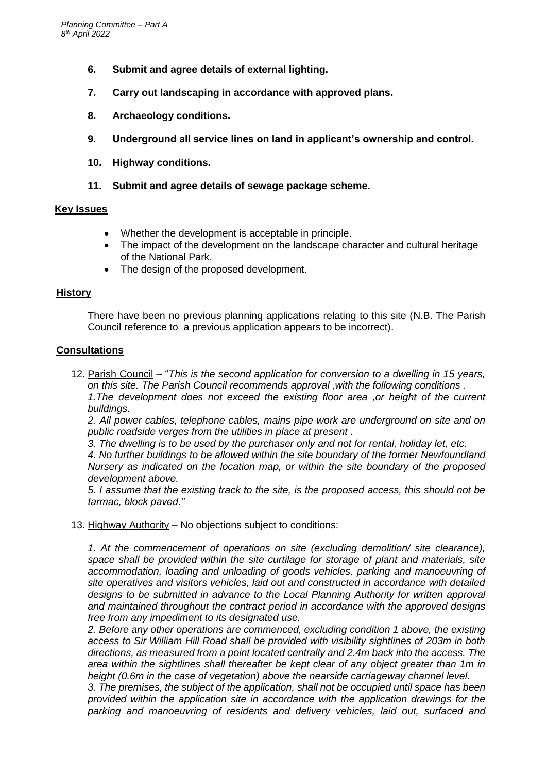- **6. Submit and agree details of external lighting.**
- **7. Carry out landscaping in accordance with approved plans.**
- **8. Archaeology conditions.**
- **9. Underground all service lines on land in applicant's ownership and control.**
- **10. Highway conditions.**
- **11. Submit and agree details of sewage package scheme.**

#### **Key Issues**

- Whether the development is acceptable in principle.
- The impact of the development on the landscape character and cultural heritage of the National Park.
- The design of the proposed development.

## **History**

There have been no previous planning applications relating to this site (N.B. The Parish Council reference to a previous application appears to be incorrect).

## **Consultations**

12. Parish Council – "*This is the second application for conversion to a dwelling in 15 years, on this site. The Parish Council recommends approval ,with the following conditions .*  1. The development does not exceed the existing floor area , or height of the current

*buildings.*

*2. All power cables, telephone cables, mains pipe work are underground on site and on public roadside verges from the utilities in place at present .*

*3. The dwelling is to be used by the purchaser only and not for rental, holiday let, etc.* 

*4. No further buildings to be allowed within the site boundary of the former Newfoundland Nursery as indicated on the location map, or within the site boundary of the proposed development above.*

*5. I assume that the existing track to the site, is the proposed access, this should not be tarmac, block paved."*

13. Highway Authority – No objections subject to conditions:

*1. At the commencement of operations on site (excluding demolition/ site clearance), space shall be provided within the site curtilage for storage of plant and materials, site accommodation, loading and unloading of goods vehicles, parking and manoeuvring of site operatives and visitors vehicles, laid out and constructed in accordance with detailed designs to be submitted in advance to the Local Planning Authority for written approval and maintained throughout the contract period in accordance with the approved designs free from any impediment to its designated use.* 

*2. Before any other operations are commenced, excluding condition 1 above, the existing access to Sir William Hill Road shall be provided with visibility sightlines of 203m in both directions, as measured from a point located centrally and 2.4m back into the access. The area within the sightlines shall thereafter be kept clear of any object greater than 1m in height (0.6m in the case of vegetation) above the nearside carriageway channel level.* 

*3. The premises, the subject of the application, shall not be occupied until space has been provided within the application site in accordance with the application drawings for the parking and manoeuvring of residents and delivery vehicles, laid out, surfaced and*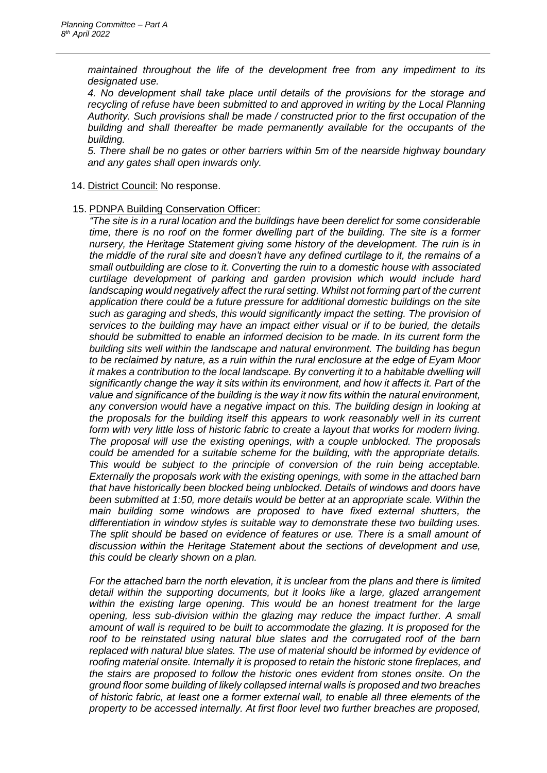*maintained throughout the life of the development free from any impediment to its designated use.* 

*4. No development shall take place until details of the provisions for the storage and recycling of refuse have been submitted to and approved in writing by the Local Planning Authority. Such provisions shall be made / constructed prior to the first occupation of the building and shall thereafter be made permanently available for the occupants of the building.* 

*5. There shall be no gates or other barriers within 5m of the nearside highway boundary and any gates shall open inwards only.*

- 14. District Council: No response.
- 15. PDNPA Building Conservation Officer:

*"The site is in a rural location and the buildings have been derelict for some considerable time, there is no roof on the former dwelling part of the building. The site is a former nursery, the Heritage Statement giving some history of the development. The ruin is in the middle of the rural site and doesn't have any defined curtilage to it, the remains of a small outbuilding are close to it. Converting the ruin to a domestic house with associated curtilage development of parking and garden provision which would include hard*  landscaping would negatively affect the rural setting. Whilst not forming part of the current *application there could be a future pressure for additional domestic buildings on the site such as garaging and sheds, this would significantly impact the setting. The provision of services to the building may have an impact either visual or if to be buried, the details should be submitted to enable an informed decision to be made. In its current form the building sits well within the landscape and natural environment. The building has begun to be reclaimed by nature, as a ruin within the rural enclosure at the edge of Eyam Moor it makes a contribution to the local landscape. By converting it to a habitable dwelling will significantly change the way it sits within its environment, and how it affects it. Part of the value and significance of the building is the way it now fits within the natural environment, any conversion would have a negative impact on this. The building design in looking at the proposals for the building itself this appears to work reasonably well in its current form with very little loss of historic fabric to create a layout that works for modern living. The proposal will use the existing openings, with a couple unblocked. The proposals could be amended for a suitable scheme for the building, with the appropriate details. This would be subject to the principle of conversion of the ruin being acceptable. Externally the proposals work with the existing openings, with some in the attached barn that have historically been blocked being unblocked. Details of windows and doors have been submitted at 1:50, more details would be better at an appropriate scale. Within the main building some windows are proposed to have fixed external shutters, the differentiation in window styles is suitable way to demonstrate these two building uses.*  The split should be based on evidence of features or use. There is a small amount of *discussion within the Heritage Statement about the sections of development and use, this could be clearly shown on a plan.*

*For the attached barn the north elevation, it is unclear from the plans and there is limited detail within the supporting documents, but it looks like a large, glazed arrangement within the existing large opening. This would be an honest treatment for the large opening, less sub-division within the glazing may reduce the impact further. A small amount of wall is required to be built to accommodate the glazing. It is proposed for the roof to be reinstated using natural blue slates and the corrugated roof of the barn replaced with natural blue slates. The use of material should be informed by evidence of roofing material onsite. Internally it is proposed to retain the historic stone fireplaces, and the stairs are proposed to follow the historic ones evident from stones onsite. On the ground floor some building of likely collapsed internal walls is proposed and two breaches of historic fabric, at least one a former external wall, to enable all three elements of the property to be accessed internally. At first floor level two further breaches are proposed,*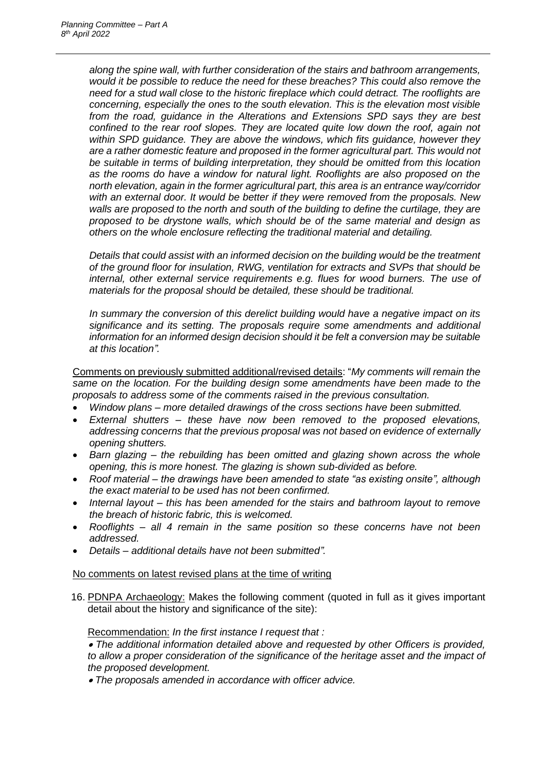*along the spine wall, with further consideration of the stairs and bathroom arrangements, would it be possible to reduce the need for these breaches? This could also remove the need for a stud wall close to the historic fireplace which could detract. The rooflights are concerning, especially the ones to the south elevation. This is the elevation most visible from the road, guidance in the Alterations and Extensions SPD says they are best confined to the rear roof slopes. They are located quite low down the roof, again not within SPD guidance. They are above the windows, which fits guidance, however they are a rather domestic feature and proposed in the former agricultural part. This would not be suitable in terms of building interpretation, they should be omitted from this location as the rooms do have a window for natural light. Rooflights are also proposed on the north elevation, again in the former agricultural part, this area is an entrance way/corridor with an external door. It would be better if they were removed from the proposals. New walls are proposed to the north and south of the building to define the curtilage, they are proposed to be drystone walls, which should be of the same material and design as others on the whole enclosure reflecting the traditional material and detailing.*

*Details that could assist with an informed decision on the building would be the treatment of the ground floor for insulation, RWG, ventilation for extracts and SVPs that should be internal, other external service requirements e.g. flues for wood burners. The use of materials for the proposal should be detailed, these should be traditional.* 

*In summary the conversion of this derelict building would have a negative impact on its significance and its setting. The proposals require some amendments and additional information for an informed design decision should it be felt a conversion may be suitable at this location".*

Comments on previously submitted additional/revised details: "*My comments will remain the same on the location. For the building design some amendments have been made to the proposals to address some of the comments raised in the previous consultation.*

- *Window plans – more detailed drawings of the cross sections have been submitted.*
- *External shutters – these have now been removed to the proposed elevations, addressing concerns that the previous proposal was not based on evidence of externally opening shutters.*
- *Barn glazing – the rebuilding has been omitted and glazing shown across the whole opening, this is more honest. The glazing is shown sub-divided as before.*
- *Roof material – the drawings have been amended to state "as existing onsite", although the exact material to be used has not been confirmed.*
- *Internal layout – this has been amended for the stairs and bathroom layout to remove the breach of historic fabric, this is welcomed.*
- *Rooflights – all 4 remain in the same position so these concerns have not been addressed.*
- *Details – additional details have not been submitted".*

#### No comments on latest revised plans at the time of writing

16. PDNPA Archaeology: Makes the following comment (quoted in full as it gives important detail about the history and significance of the site):

#### Recommendation: *In the first instance I request that :*

 *The additional information detailed above and requested by other Officers is provided,*  to allow a proper consideration of the significance of the heritage asset and the impact of *the proposed development.* 

*The proposals amended in accordance with officer advice.*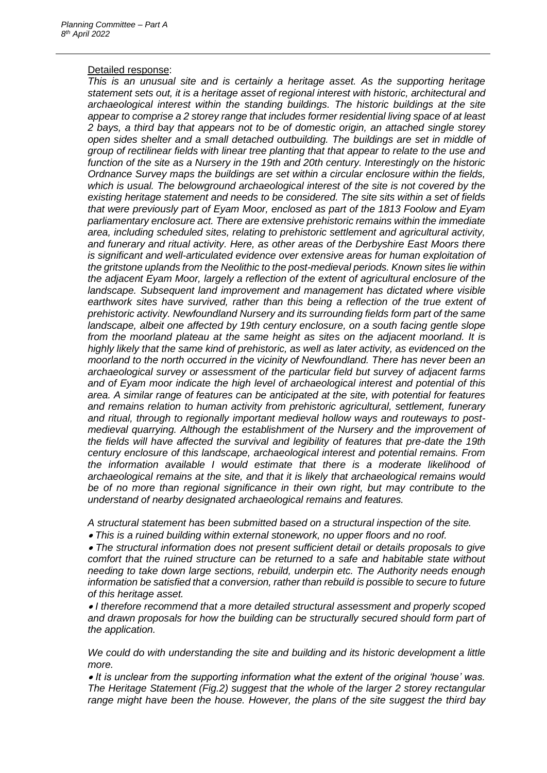#### Detailed response:

*This is an unusual site and is certainly a heritage asset. As the supporting heritage statement sets out, it is a heritage asset of regional interest with historic, architectural and archaeological interest within the standing buildings. The historic buildings at the site appear to comprise a 2 storey range that includes former residential living space of at least 2 bays, a third bay that appears not to be of domestic origin, an attached single storey open sides shelter and a small detached outbuilding. The buildings are set in middle of group of rectilinear fields with linear tree planting that that appear to relate to the use and function of the site as a Nursery in the 19th and 20th century. Interestingly on the historic Ordnance Survey maps the buildings are set within a circular enclosure within the fields, which is usual. The belowground archaeological interest of the site is not covered by the existing heritage statement and needs to be considered. The site sits within a set of fields that were previously part of Eyam Moor, enclosed as part of the 1813 Foolow and Eyam parliamentary enclosure act. There are extensive prehistoric remains within the immediate area, including scheduled sites, relating to prehistoric settlement and agricultural activity, and funerary and ritual activity. Here, as other areas of the Derbyshire East Moors there is significant and well-articulated evidence over extensive areas for human exploitation of the gritstone uplands from the Neolithic to the post-medieval periods. Known sites lie within the adjacent Eyam Moor, largely a reflection of the extent of agricultural enclosure of the landscape. Subsequent land improvement and management has dictated where visible earthwork sites have survived, rather than this being a reflection of the true extent of prehistoric activity. Newfoundland Nursery and its surrounding fields form part of the same landscape, albeit one affected by 19th century enclosure, on a south facing gentle slope from the moorland plateau at the same height as sites on the adjacent moorland. It is highly likely that the same kind of prehistoric, as well as later activity, as evidenced on the moorland to the north occurred in the vicinity of Newfoundland. There has never been an archaeological survey or assessment of the particular field but survey of adjacent farms and of Eyam moor indicate the high level of archaeological interest and potential of this area. A similar range of features can be anticipated at the site, with potential for features and remains relation to human activity from prehistoric agricultural, settlement, funerary and ritual, through to regionally important medieval hollow ways and routeways to postmedieval quarrying. Although the establishment of the Nursery and the improvement of the fields will have affected the survival and legibility of features that pre-date the 19th century enclosure of this landscape, archaeological interest and potential remains. From the information available I would estimate that there is a moderate likelihood of archaeological remains at the site, and that it is likely that archaeological remains would be of no more than regional significance in their own right, but may contribute to the understand of nearby designated archaeological remains and features.*

*A structural statement has been submitted based on a structural inspection of the site.* 

*This is a ruined building within external stonework, no upper floors and no roof.* 

 *The structural information does not present sufficient detail or details proposals to give comfort that the ruined structure can be returned to a safe and habitable state without needing to take down large sections, rebuild, underpin etc. The Authority needs enough information be satisfied that a conversion, rather than rebuild is possible to secure to future of this heritage asset.* 

 *I therefore recommend that a more detailed structural assessment and properly scoped and drawn proposals for how the building can be structurally secured should form part of the application.* 

*We could do with understanding the site and building and its historic development a little more.* 

 *It is unclear from the supporting information what the extent of the original 'house' was. The Heritage Statement (Fig.2) suggest that the whole of the larger 2 storey rectangular*  range might have been the house. However, the plans of the site suggest the third bay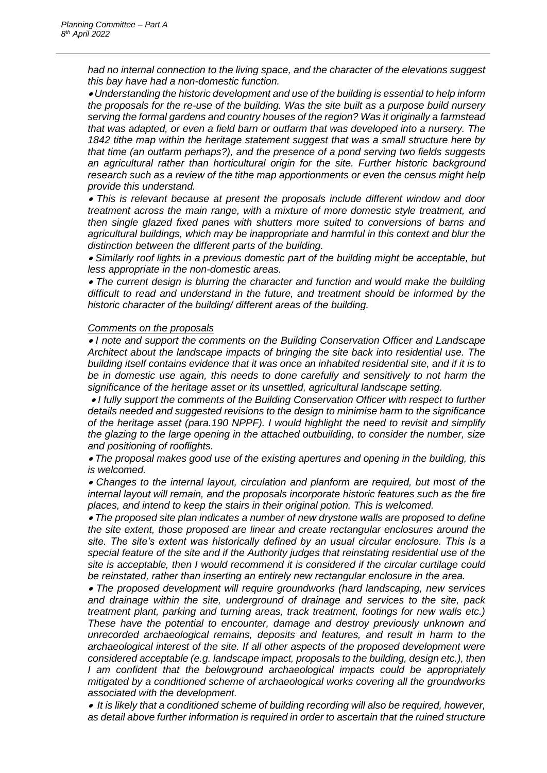*had no internal connection to the living space, and the character of the elevations suggest this bay have had a non-domestic function.* 

 *Understanding the historic development and use of the building is essential to help inform the proposals for the re-use of the building. Was the site built as a purpose build nursery serving the formal gardens and country houses of the region? Was it originally a farmstead that was adapted, or even a field barn or outfarm that was developed into a nursery. The 1842 tithe map within the heritage statement suggest that was a small structure here by that time (an outfarm perhaps?), and the presence of a pond serving two fields suggests an agricultural rather than horticultural origin for the site. Further historic background research such as a review of the tithe map apportionments or even the census might help provide this understand.* 

 *This is relevant because at present the proposals include different window and door treatment across the main range, with a mixture of more domestic style treatment, and then single glazed fixed panes with shutters more suited to conversions of barns and agricultural buildings, which may be inappropriate and harmful in this context and blur the distinction between the different parts of the building.* 

 *Similarly roof lights in a previous domestic part of the building might be acceptable, but less appropriate in the non-domestic areas.* 

 *The current design is blurring the character and function and would make the building difficult to read and understand in the future, and treatment should be informed by the historic character of the building/ different areas of the building.*

#### *Comments on the proposals*

 *I note and support the comments on the Building Conservation Officer and Landscape Architect about the landscape impacts of bringing the site back into residential use. The building itself contains evidence that it was once an inhabited residential site, and if it is to be in domestic use again, this needs to done carefully and sensitively to not harm the significance of the heritage asset or its unsettled, agricultural landscape setting.*

 *I fully support the comments of the Building Conservation Officer with respect to further details needed and suggested revisions to the design to minimise harm to the significance of the heritage asset (para.190 NPPF). I would highlight the need to revisit and simplify the glazing to the large opening in the attached outbuilding, to consider the number, size and positioning of rooflights.* 

 *The proposal makes good use of the existing apertures and opening in the building, this is welcomed.* 

 *Changes to the internal layout, circulation and planform are required, but most of the internal layout will remain, and the proposals incorporate historic features such as the fire places, and intend to keep the stairs in their original potion. This is welcomed.* 

 *The proposed site plan indicates a number of new drystone walls are proposed to define the site extent, those proposed are linear and create rectangular enclosures around the site. The site's extent was historically defined by an usual circular enclosure. This is a special feature of the site and if the Authority judges that reinstating residential use of the site is acceptable, then I would recommend it is considered if the circular curtilage could be reinstated, rather than inserting an entirely new rectangular enclosure in the area.* 

 *The proposed development will require groundworks (hard landscaping, new services and drainage within the site, underground of drainage and services to the site, pack treatment plant, parking and turning areas, track treatment, footings for new walls etc.) These have the potential to encounter, damage and destroy previously unknown and unrecorded archaeological remains, deposits and features, and result in harm to the archaeological interest of the site. If all other aspects of the proposed development were considered acceptable (e.g. landscape impact, proposals to the building, design etc.), then I* am confident that the belowground archaeological impacts could be appropriately *mitigated by a conditioned scheme of archaeological works covering all the groundworks associated with the development.* 

 *It is likely that a conditioned scheme of building recording will also be required, however, as detail above further information is required in order to ascertain that the ruined structure*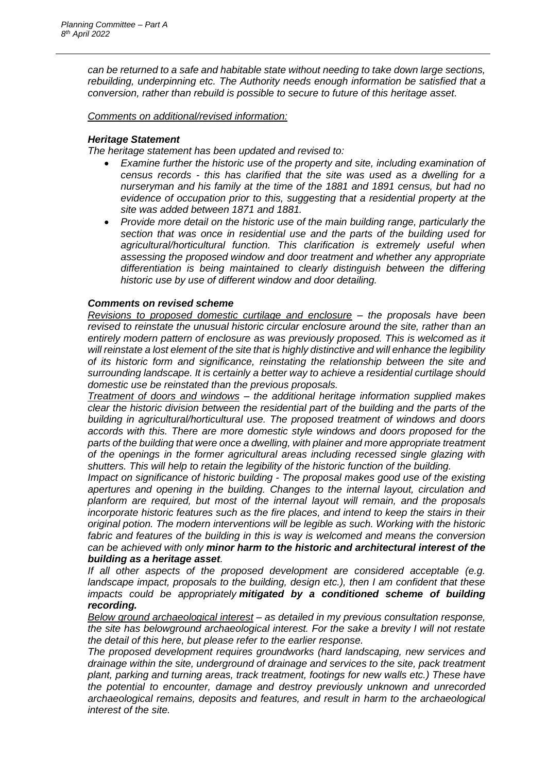*can be returned to a safe and habitable state without needing to take down large sections, rebuilding, underpinning etc. The Authority needs enough information be satisfied that a conversion, rather than rebuild is possible to secure to future of this heritage asset.*

*Comments on additional/revised information:*

## *Heritage Statement*

*The heritage statement has been updated and revised to:*

- *Examine further the historic use of the property and site, including examination of census records - this has clarified that the site was used as a dwelling for a nurseryman and his family at the time of the 1881 and 1891 census, but had no evidence of occupation prior to this, suggesting that a residential property at the site was added between 1871 and 1881.*
- *Provide more detail on the historic use of the main building range, particularly the section that was once in residential use and the parts of the building used for agricultural/horticultural function. This clarification is extremely useful when assessing the proposed window and door treatment and whether any appropriate differentiation is being maintained to clearly distinguish between the differing historic use by use of different window and door detailing.*

## *Comments on revised scheme*

*Revisions to proposed domestic curtilage and enclosure – the proposals have been revised to reinstate the unusual historic circular enclosure around the site, rather than an entirely modern pattern of enclosure as was previously proposed. This is welcomed as it will reinstate a lost element of the site that is highly distinctive and will enhance the legibility of its historic form and significance, reinstating the relationship between the site and surrounding landscape. It is certainly a better way to achieve a residential curtilage should domestic use be reinstated than the previous proposals.*

*Treatment of doors and windows – the additional heritage information supplied makes clear the historic division between the residential part of the building and the parts of the building in agricultural/horticultural use. The proposed treatment of windows and doors accords with this. There are more domestic style windows and doors proposed for the parts of the building that were once a dwelling, with plainer and more appropriate treatment of the openings in the former agricultural areas including recessed single glazing with shutters. This will help to retain the legibility of the historic function of the building.*

*Impact on significance of historic building - The proposal makes good use of the existing apertures and opening in the building. Changes to the internal layout, circulation and planform are required, but most of the internal layout will remain, and the proposals incorporate historic features such as the fire places, and intend to keep the stairs in their original potion. The modern interventions will be legible as such. Working with the historic*  fabric and features of the building in this is way is welcomed and means the conversion *can be achieved with only minor harm to the historic and architectural interest of the building as a heritage asset.*

*If all other aspects of the proposed development are considered acceptable (e.g. landscape impact, proposals to the building, design etc.), then I am confident that these impacts could be appropriately mitigated by a conditioned scheme of building recording.*

*Below ground archaeological interest – as detailed in my previous consultation response, the site has belowground archaeological interest. For the sake a brevity I will not restate the detail of this here, but please refer to the earlier response.*

*The proposed development requires groundworks (hard landscaping, new services and drainage within the site, underground of drainage and services to the site, pack treatment plant, parking and turning areas, track treatment, footings for new walls etc.) These have the potential to encounter, damage and destroy previously unknown and unrecorded archaeological remains, deposits and features, and result in harm to the archaeological interest of the site.*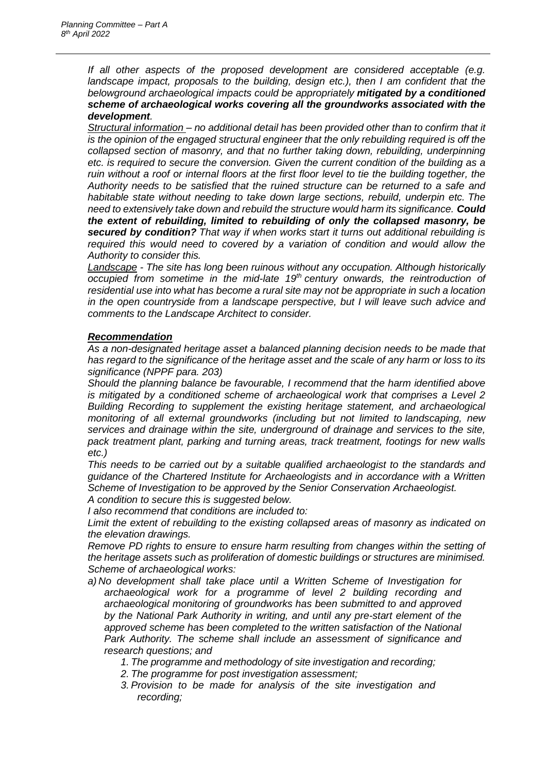*If all other aspects of the proposed development are considered acceptable (e.g.*  landscape impact, proposals to the building, design etc.), then I am confident that the *belowground archaeological impacts could be appropriately mitigated by a conditioned scheme of archaeological works covering all the groundworks associated with the development.*

*Structural information – no additional detail has been provided other than to confirm that it is the opinion of the engaged structural engineer that the only rebuilding required is off the collapsed section of masonry, and that no further taking down, rebuilding, underpinning etc. is required to secure the conversion. Given the current condition of the building as a ruin without a roof or internal floors at the first floor level to tie the building together, the Authority needs to be satisfied that the ruined structure can be returned to a safe and habitable state without needing to take down large sections, rebuild, underpin etc. The need to extensively take down and rebuild the structure would harm its significance. Could the extent of rebuilding, limited to rebuilding of only the collapsed masonry, be secured by condition? That way if when works start it turns out additional rebuilding is required this would need to covered by a variation of condition and would allow the Authority to consider this.*

*Landscape - The site has long been ruinous without any occupation. Although historically occupied from sometime in the mid-late 19th century onwards, the reintroduction of residential use into what has become a rural site may not be appropriate in such a location in the open countryside from a landscape perspective, but I will leave such advice and comments to the Landscape Architect to consider.*

## *Recommendation*

*As a non-designated heritage asset a balanced planning decision needs to be made that has regard to the significance of the heritage asset and the scale of any harm or loss to its significance (NPPF para. 203)*

*Should the planning balance be favourable, I recommend that the harm identified above is mitigated by a conditioned scheme of archaeological work that comprises a Level 2 Building Recording to supplement the existing heritage statement, and archaeological monitoring of all external groundworks (including but not limited to landscaping, new services and drainage within the site, underground of drainage and services to the site, pack treatment plant, parking and turning areas, track treatment, footings for new walls etc.)*

*This needs to be carried out by a suitable qualified archaeologist to the standards and guidance of the Chartered Institute for Archaeologists and in accordance with a Written Scheme of Investigation to be approved by the Senior Conservation Archaeologist.*

*A condition to secure this is suggested below. I also recommend that conditions are included to:*

*Limit the extent of rebuilding to the existing collapsed areas of masonry as indicated on the elevation drawings.*

*Remove PD rights to ensure to ensure harm resulting from changes within the setting of the heritage assets such as proliferation of domestic buildings or structures are minimised. Scheme of archaeological works:*

- *a) No development shall take place until a Written Scheme of Investigation for archaeological work for a programme of level 2 building recording and archaeological monitoring of groundworks has been submitted to and approved by the National Park Authority in writing, and until any pre-start element of the approved scheme has been completed to the written satisfaction of the National Park Authority. The scheme shall include an assessment of significance and research questions; and*
	- *1. The programme and methodology of site investigation and recording;*
	- *2. The programme for post investigation assessment;*
	- *3. Provision to be made for analysis of the site investigation and recording;*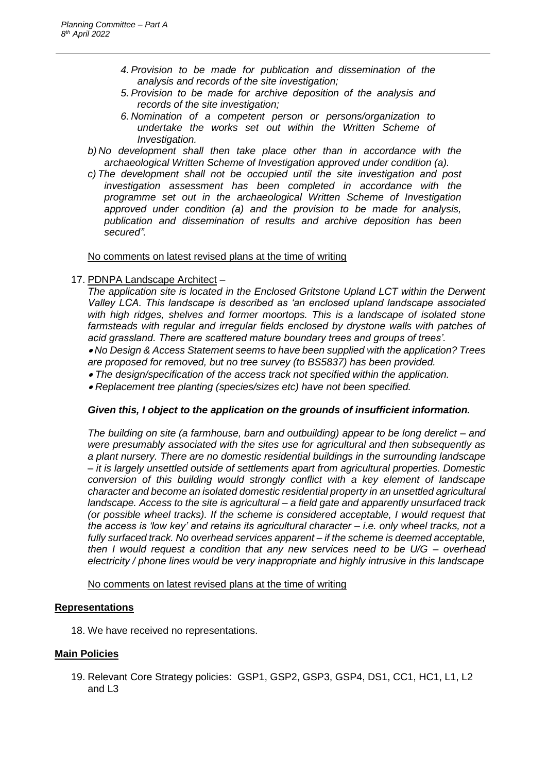- *4. Provision to be made for publication and dissemination of the analysis and records of the site investigation;*
- *5. Provision to be made for archive deposition of the analysis and records of the site investigation;*
- *6. Nomination of a competent person or persons/organization to undertake the works set out within the Written Scheme of Investigation.*
- *b) No development shall then take place other than in accordance with the archaeological Written Scheme of Investigation approved under condition (a).*
- *c) The development shall not be occupied until the site investigation and post investigation assessment has been completed in accordance with the programme set out in the archaeological Written Scheme of Investigation approved under condition (a) and the provision to be made for analysis, publication and dissemination of results and archive deposition has been secured".*

No comments on latest revised plans at the time of writing

17. PDNPA Landscape Architect –

*The application site is located in the Enclosed Gritstone Upland LCT within the Derwent Valley LCA. This landscape is described as 'an enclosed upland landscape associated with high ridges, shelves and former moortops. This is a landscape of isolated stone* farmsteads with regular and irregular fields enclosed by drystone walls with patches of *acid grassland. There are scattered mature boundary trees and groups of trees'.* 

 *No Design & Access Statement seems to have been supplied with the application? Trees are proposed for removed, but no tree survey (to BS5837) has been provided.* 

*The design/specification of the access track not specified within the application.* 

*Replacement tree planting (species/sizes etc) have not been specified.* 

## *Given this, I object to the application on the grounds of insufficient information.*

*The building on site (a farmhouse, barn and outbuilding) appear to be long derelict – and were presumably associated with the sites use for agricultural and then subsequently as a plant nursery. There are no domestic residential buildings in the surrounding landscape – it is largely unsettled outside of settlements apart from agricultural properties. Domestic conversion of this building would strongly conflict with a key element of landscape character and become an isolated domestic residential property in an unsettled agricultural landscape. Access to the site is agricultural – a field gate and apparently unsurfaced track (or possible wheel tracks). If the scheme is considered acceptable, I would request that the access is 'low key' and retains its agricultural character – i.e. only wheel tracks, not a fully surfaced track. No overhead services apparent – if the scheme is deemed acceptable, then I would request a condition that any new services need to be U/G – overhead electricity / phone lines would be very inappropriate and highly intrusive in this landscape*

No comments on latest revised plans at the time of writing

## **Representations**

18. We have received no representations.

## **Main Policies**

19. Relevant Core Strategy policies: GSP1, GSP2, GSP3, GSP4, DS1, CC1, HC1, L1, L2 and L3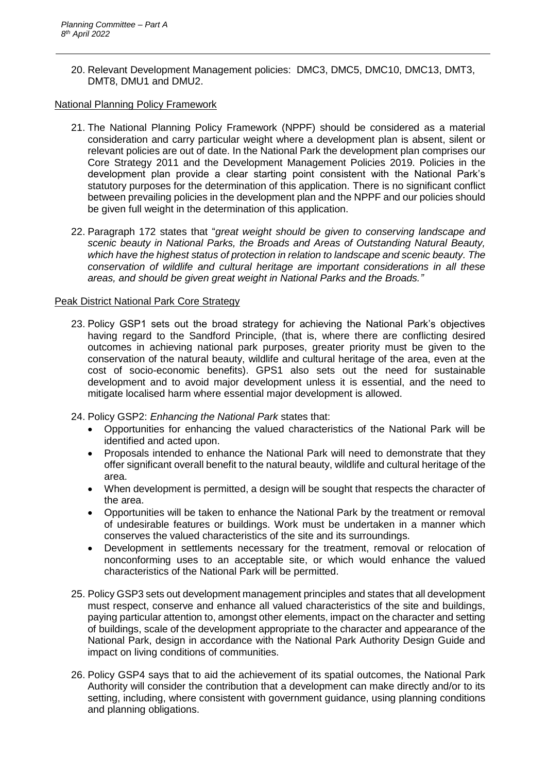20. Relevant Development Management policies: DMC3, DMC5, DMC10, DMC13, DMT3, DMT8, DMU1 and DMU2.

National Planning Policy Framework

- 21. The National Planning Policy Framework (NPPF) should be considered as a material consideration and carry particular weight where a development plan is absent, silent or relevant policies are out of date. In the National Park the development plan comprises our Core Strategy 2011 and the Development Management Policies 2019. Policies in the development plan provide a clear starting point consistent with the National Park's statutory purposes for the determination of this application. There is no significant conflict between prevailing policies in the development plan and the NPPF and our policies should be given full weight in the determination of this application.
- 22. Paragraph 172 states that "*great weight should be given to conserving landscape and scenic beauty in National Parks, the Broads and Areas of Outstanding Natural Beauty, which have the highest status of protection in relation to landscape and scenic beauty. The conservation of wildlife and cultural heritage are important considerations in all these areas, and should be given great weight in National Parks and the Broads."*

## Peak District National Park Core Strategy

- 23. Policy GSP1 sets out the broad strategy for achieving the National Park's objectives having regard to the Sandford Principle, (that is, where there are conflicting desired outcomes in achieving national park purposes, greater priority must be given to the conservation of the natural beauty, wildlife and cultural heritage of the area, even at the cost of socio-economic benefits). GPS1 also sets out the need for sustainable development and to avoid major development unless it is essential, and the need to mitigate localised harm where essential major development is allowed.
- 24. Policy GSP2: *Enhancing the National Park* states that:
	- Opportunities for enhancing the valued characteristics of the National Park will be identified and acted upon.
	- Proposals intended to enhance the National Park will need to demonstrate that they offer significant overall benefit to the natural beauty, wildlife and cultural heritage of the area.
	- When development is permitted, a design will be sought that respects the character of the area.
	- Opportunities will be taken to enhance the National Park by the treatment or removal of undesirable features or buildings. Work must be undertaken in a manner which conserves the valued characteristics of the site and its surroundings.
	- Development in settlements necessary for the treatment, removal or relocation of nonconforming uses to an acceptable site, or which would enhance the valued characteristics of the National Park will be permitted.
- 25. Policy GSP3 sets out development management principles and states that all development must respect, conserve and enhance all valued characteristics of the site and buildings, paying particular attention to, amongst other elements, impact on the character and setting of buildings, scale of the development appropriate to the character and appearance of the National Park, design in accordance with the National Park Authority Design Guide and impact on living conditions of communities.
- 26. Policy GSP4 says that to aid the achievement of its spatial outcomes, the National Park Authority will consider the contribution that a development can make directly and/or to its setting, including, where consistent with government guidance, using planning conditions and planning obligations.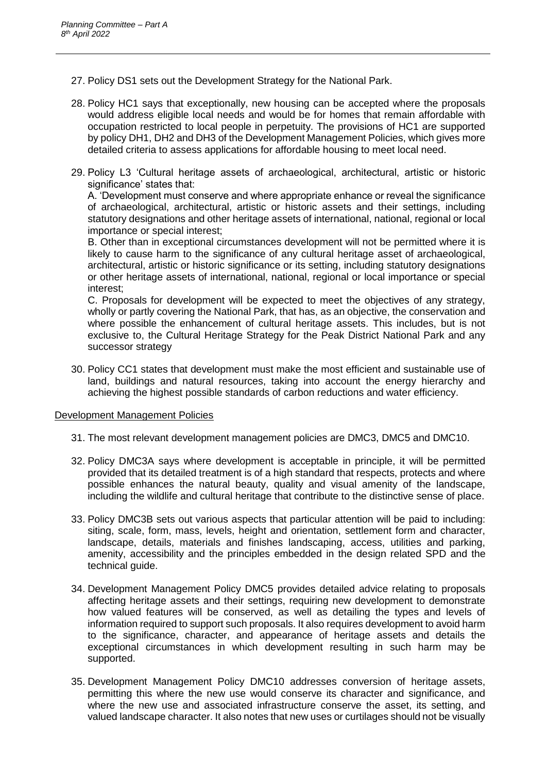- 27. Policy DS1 sets out the Development Strategy for the National Park.
- 28. Policy HC1 says that exceptionally, new housing can be accepted where the proposals would address eligible local needs and would be for homes that remain affordable with occupation restricted to local people in perpetuity. The provisions of HC1 are supported by policy DH1, DH2 and DH3 of the Development Management Policies, which gives more detailed criteria to assess applications for affordable housing to meet local need.
- 29. Policy L3 'Cultural heritage assets of archaeological, architectural, artistic or historic significance' states that:

A. 'Development must conserve and where appropriate enhance or reveal the significance of archaeological, architectural, artistic or historic assets and their settings, including statutory designations and other heritage assets of international, national, regional or local importance or special interest;

B. Other than in exceptional circumstances development will not be permitted where it is likely to cause harm to the significance of any cultural heritage asset of archaeological, architectural, artistic or historic significance or its setting, including statutory designations or other heritage assets of international, national, regional or local importance or special interest;

C. Proposals for development will be expected to meet the objectives of any strategy, wholly or partly covering the National Park, that has, as an objective, the conservation and where possible the enhancement of cultural heritage assets. This includes, but is not exclusive to, the Cultural Heritage Strategy for the Peak District National Park and any successor strategy

30. Policy CC1 states that development must make the most efficient and sustainable use of land, buildings and natural resources, taking into account the energy hierarchy and achieving the highest possible standards of carbon reductions and water efficiency.

#### Development Management Policies

- 31. The most relevant development management policies are DMC3, DMC5 and DMC10.
- 32. Policy DMC3A says where development is acceptable in principle, it will be permitted provided that its detailed treatment is of a high standard that respects, protects and where possible enhances the natural beauty, quality and visual amenity of the landscape, including the wildlife and cultural heritage that contribute to the distinctive sense of place.
- 33. Policy DMC3B sets out various aspects that particular attention will be paid to including: siting, scale, form, mass, levels, height and orientation, settlement form and character, landscape, details, materials and finishes landscaping, access, utilities and parking, amenity, accessibility and the principles embedded in the design related SPD and the technical guide.
- 34. Development Management Policy DMC5 provides detailed advice relating to proposals affecting heritage assets and their settings, requiring new development to demonstrate how valued features will be conserved, as well as detailing the types and levels of information required to support such proposals. It also requires development to avoid harm to the significance, character, and appearance of heritage assets and details the exceptional circumstances in which development resulting in such harm may be supported.
- 35. Development Management Policy DMC10 addresses conversion of heritage assets, permitting this where the new use would conserve its character and significance, and where the new use and associated infrastructure conserve the asset, its setting, and valued landscape character. It also notes that new uses or curtilages should not be visually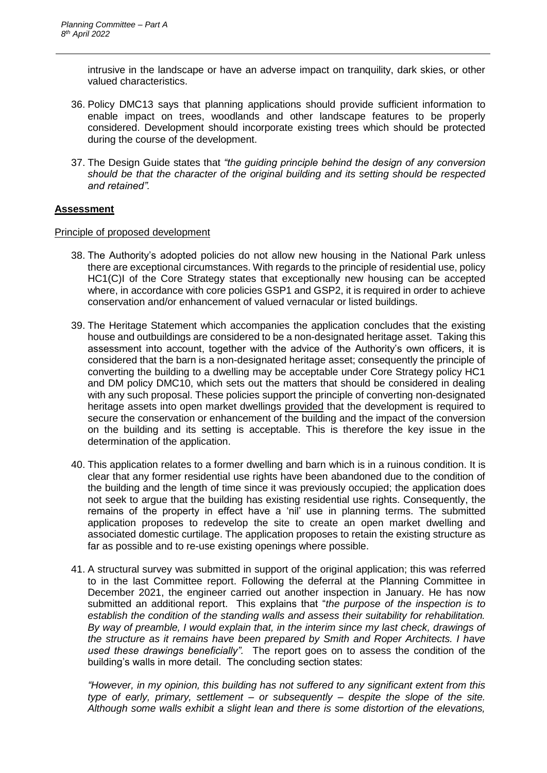intrusive in the landscape or have an adverse impact on tranquility, dark skies, or other valued characteristics.

- 36. Policy DMC13 says that planning applications should provide sufficient information to enable impact on trees, woodlands and other landscape features to be properly considered. Development should incorporate existing trees which should be protected during the course of the development.
- 37. The Design Guide states that *"the guiding principle behind the design of any conversion should be that the character of the original building and its setting should be respected and retained".*

#### **Assessment**

#### Principle of proposed development

- 38. The Authority's adopted policies do not allow new housing in the National Park unless there are exceptional circumstances. With regards to the principle of residential use, policy HC1(C)I of the Core Strategy states that exceptionally new housing can be accepted where, in accordance with core policies GSP1 and GSP2, it is required in order to achieve conservation and/or enhancement of valued vernacular or listed buildings.
- 39. The Heritage Statement which accompanies the application concludes that the existing house and outbuildings are considered to be a non-designated heritage asset. Taking this assessment into account, together with the advice of the Authority's own officers, it is considered that the barn is a non-designated heritage asset; consequently the principle of converting the building to a dwelling may be acceptable under Core Strategy policy HC1 and DM policy DMC10, which sets out the matters that should be considered in dealing with any such proposal. These policies support the principle of converting non-designated heritage assets into open market dwellings provided that the development is required to secure the conservation or enhancement of the building and the impact of the conversion on the building and its setting is acceptable. This is therefore the key issue in the determination of the application.
- 40. This application relates to a former dwelling and barn which is in a ruinous condition. It is clear that any former residential use rights have been abandoned due to the condition of the building and the length of time since it was previously occupied; the application does not seek to argue that the building has existing residential use rights. Consequently, the remains of the property in effect have a 'nil' use in planning terms. The submitted application proposes to redevelop the site to create an open market dwelling and associated domestic curtilage. The application proposes to retain the existing structure as far as possible and to re-use existing openings where possible.
- 41. A structural survey was submitted in support of the original application; this was referred to in the last Committee report. Following the deferral at the Planning Committee in December 2021, the engineer carried out another inspection in January. He has now submitted an additional report. This explains that "*the purpose of the inspection is to establish the condition of the standing walls and assess their suitability for rehabilitation. By way of preamble, I would explain that, in the interim since my last check, drawings of the structure as it remains have been prepared by Smith and Roper Architects. I have used these drawings beneficially".* The report goes on to assess the condition of the building's walls in more detail. The concluding section states:

*"However, in my opinion, this building has not suffered to any significant extent from this type of early, primary, settlement – or subsequently – despite the slope of the site. Although some walls exhibit a slight lean and there is some distortion of the elevations,*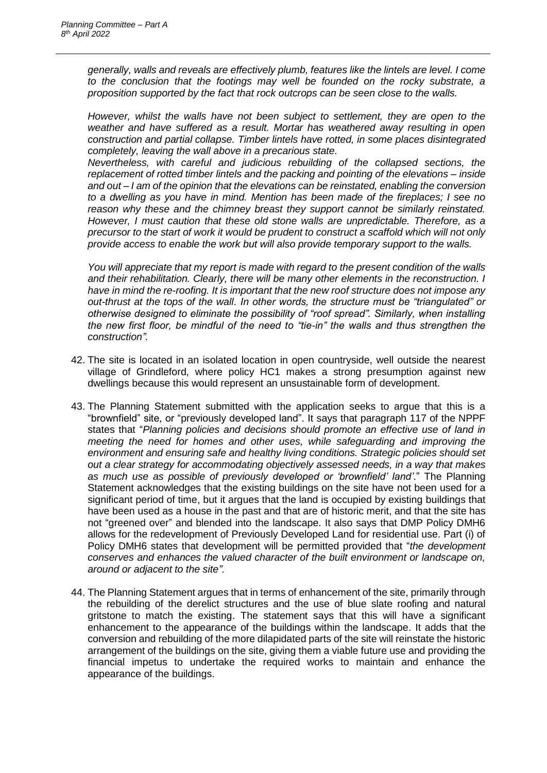*generally, walls and reveals are effectively plumb, features like the lintels are level. I come to the conclusion that the footings may well be founded on the rocky substrate, a proposition supported by the fact that rock outcrops can be seen close to the walls.* 

*However, whilst the walls have not been subject to settlement, they are open to the weather and have suffered as a result. Mortar has weathered away resulting in open construction and partial collapse. Timber lintels have rotted, in some places disintegrated completely, leaving the wall above in a precarious state.* 

*Nevertheless, with careful and judicious rebuilding of the collapsed sections, the replacement of rotted timber lintels and the packing and pointing of the elevations – inside and out – I am of the opinion that the elevations can be reinstated, enabling the conversion to a dwelling as you have in mind. Mention has been made of the fireplaces; I see no reason why these and the chimney breast they support cannot be similarly reinstated. However, I must caution that these old stone walls are unpredictable. Therefore, as a precursor to the start of work it would be prudent to construct a scaffold which will not only provide access to enable the work but will also provide temporary support to the walls.* 

*You will appreciate that my report is made with regard to the present condition of the walls and their rehabilitation. Clearly, there will be many other elements in the reconstruction. I have in mind the re-roofing. It is important that the new roof structure does not impose any out-thrust at the tops of the wall. In other words, the structure must be "triangulated" or otherwise designed to eliminate the possibility of "roof spread". Similarly, when installing the new first floor, be mindful of the need to "tie-in" the walls and thus strengthen the construction".*

- 42. The site is located in an isolated location in open countryside, well outside the nearest village of Grindleford, where policy HC1 makes a strong presumption against new dwellings because this would represent an unsustainable form of development.
- 43. The Planning Statement submitted with the application seeks to argue that this is a "brownfield" site, or "previously developed land". It says that paragraph 117 of the NPPF states that "*Planning policies and decisions should promote an effective use of land in meeting the need for homes and other uses, while safeguarding and improving the environment and ensuring safe and healthy living conditions. Strategic policies should set out a clear strategy for accommodating objectively assessed needs, in a way that makes as much use as possible of previously developed or 'brownfield' land'*." The Planning Statement acknowledges that the existing buildings on the site have not been used for a significant period of time, but it argues that the land is occupied by existing buildings that have been used as a house in the past and that are of historic merit, and that the site has not "greened over" and blended into the landscape. It also says that DMP Policy DMH6 allows for the redevelopment of Previously Developed Land for residential use. Part (i) of Policy DMH6 states that development will be permitted provided that "*the development conserves and enhances the valued character of the built environment or landscape on, around or adjacent to the site".*
- 44. The Planning Statement argues that in terms of enhancement of the site, primarily through the rebuilding of the derelict structures and the use of blue slate roofing and natural gritstone to match the existing. The statement says that this will have a significant enhancement to the appearance of the buildings within the landscape. It adds that the conversion and rebuilding of the more dilapidated parts of the site will reinstate the historic arrangement of the buildings on the site, giving them a viable future use and providing the financial impetus to undertake the required works to maintain and enhance the appearance of the buildings.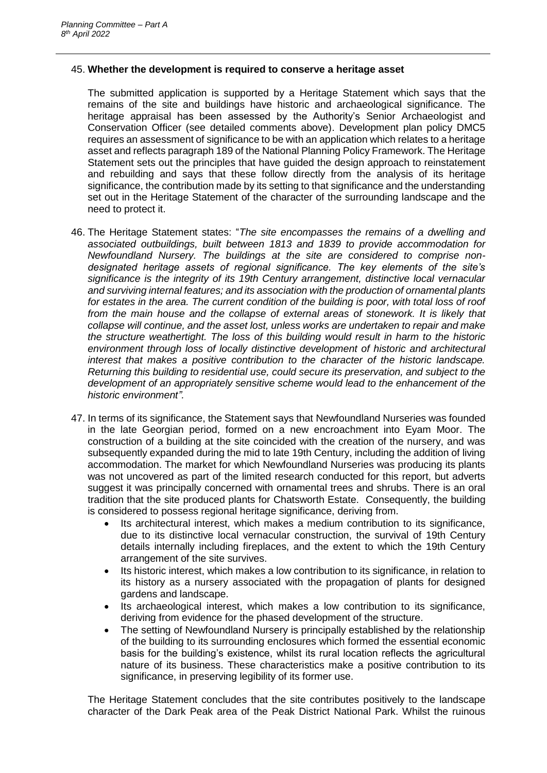#### 45. **Whether the development is required to conserve a heritage asset**

The submitted application is supported by a Heritage Statement which says that the remains of the site and buildings have historic and archaeological significance. The heritage appraisal has been assessed by the Authority's Senior Archaeologist and Conservation Officer (see detailed comments above). Development plan policy DMC5 requires an assessment of significance to be with an application which relates to a heritage asset and reflects paragraph 189 of the National Planning Policy Framework. The Heritage Statement sets out the principles that have guided the design approach to reinstatement and rebuilding and says that these follow directly from the analysis of its heritage significance, the contribution made by its setting to that significance and the understanding set out in the Heritage Statement of the character of the surrounding landscape and the need to protect it.

- 46. The Heritage Statement states: "*The site encompasses the remains of a dwelling and associated outbuildings, built between 1813 and 1839 to provide accommodation for Newfoundland Nursery. The buildings at the site are considered to comprise nondesignated heritage assets of regional significance. The key elements of the site's significance is the integrity of its 19th Century arrangement, distinctive local vernacular and surviving internal features; and its association with the production of ornamental plants*  for estates in the area. The current condition of the building is poor, with total loss of roof *from the main house and the collapse of external areas of stonework. It is likely that collapse will continue, and the asset lost, unless works are undertaken to repair and make the structure weathertight. The loss of this building would result in harm to the historic environment through loss of locally distinctive development of historic and architectural interest that makes a positive contribution to the character of the historic landscape. Returning this building to residential use, could secure its preservation, and subject to the development of an appropriately sensitive scheme would lead to the enhancement of the historic environment".*
- 47. In terms of its significance, the Statement says that Newfoundland Nurseries was founded in the late Georgian period, formed on a new encroachment into Eyam Moor. The construction of a building at the site coincided with the creation of the nursery, and was subsequently expanded during the mid to late 19th Century, including the addition of living accommodation. The market for which Newfoundland Nurseries was producing its plants was not uncovered as part of the limited research conducted for this report, but adverts suggest it was principally concerned with ornamental trees and shrubs. There is an oral tradition that the site produced plants for Chatsworth Estate. Consequently, the building is considered to possess regional heritage significance, deriving from.
	- Its architectural interest, which makes a medium contribution to its significance, due to its distinctive local vernacular construction, the survival of 19th Century details internally including fireplaces, and the extent to which the 19th Century arrangement of the site survives.
	- Its historic interest, which makes a low contribution to its significance, in relation to its history as a nursery associated with the propagation of plants for designed gardens and landscape.
	- Its archaeological interest, which makes a low contribution to its significance, deriving from evidence for the phased development of the structure.
	- The setting of Newfoundland Nursery is principally established by the relationship of the building to its surrounding enclosures which formed the essential economic basis for the building's existence, whilst its rural location reflects the agricultural nature of its business. These characteristics make a positive contribution to its significance, in preserving legibility of its former use.

The Heritage Statement concludes that the site contributes positively to the landscape character of the Dark Peak area of the Peak District National Park. Whilst the ruinous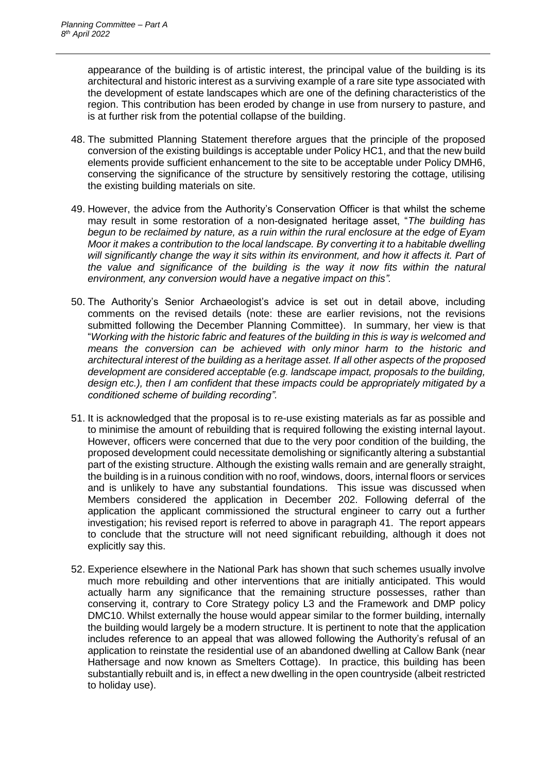appearance of the building is of artistic interest, the principal value of the building is its architectural and historic interest as a surviving example of a rare site type associated with the development of estate landscapes which are one of the defining characteristics of the region. This contribution has been eroded by change in use from nursery to pasture, and is at further risk from the potential collapse of the building.

- 48. The submitted Planning Statement therefore argues that the principle of the proposed conversion of the existing buildings is acceptable under Policy HC1, and that the new build elements provide sufficient enhancement to the site to be acceptable under Policy DMH6, conserving the significance of the structure by sensitively restoring the cottage, utilising the existing building materials on site.
- 49. However, the advice from the Authority's Conservation Officer is that whilst the scheme may result in some restoration of a non-designated heritage asset, "*The building has begun to be reclaimed by nature, as a ruin within the rural enclosure at the edge of Eyam Moor it makes a contribution to the local landscape. By converting it to a habitable dwelling*  will significantly change the way it sits within its environment, and how it affects it. Part of *the value and significance of the building is the way it now fits within the natural environment, any conversion would have a negative impact on this".*
- 50. The Authority's Senior Archaeologist's advice is set out in detail above, including comments on the revised details (note: these are earlier revisions, not the revisions submitted following the December Planning Committee). In summary, her view is that "*Working with the historic fabric and features of the building in this is way is welcomed and means the conversion can be achieved with only minor harm to the historic and architectural interest of the building as a heritage asset. If all other aspects of the proposed development are considered acceptable (e.g. landscape impact, proposals to the building, design etc.), then I am confident that these impacts could be appropriately mitigated by a conditioned scheme of building recording".*
- 51. It is acknowledged that the proposal is to re-use existing materials as far as possible and to minimise the amount of rebuilding that is required following the existing internal layout. However, officers were concerned that due to the very poor condition of the building, the proposed development could necessitate demolishing or significantly altering a substantial part of the existing structure. Although the existing walls remain and are generally straight, the building is in a ruinous condition with no roof, windows, doors, internal floors or services and is unlikely to have any substantial foundations. This issue was discussed when Members considered the application in December 202. Following deferral of the application the applicant commissioned the structural engineer to carry out a further investigation; his revised report is referred to above in paragraph 41. The report appears to conclude that the structure will not need significant rebuilding, although it does not explicitly say this.
- 52. Experience elsewhere in the National Park has shown that such schemes usually involve much more rebuilding and other interventions that are initially anticipated. This would actually harm any significance that the remaining structure possesses, rather than conserving it, contrary to Core Strategy policy L3 and the Framework and DMP policy DMC10. Whilst externally the house would appear similar to the former building, internally the building would largely be a modern structure. It is pertinent to note that the application includes reference to an appeal that was allowed following the Authority's refusal of an application to reinstate the residential use of an abandoned dwelling at Callow Bank (near Hathersage and now known as Smelters Cottage). In practice, this building has been substantially rebuilt and is, in effect a new dwelling in the open countryside (albeit restricted to holiday use).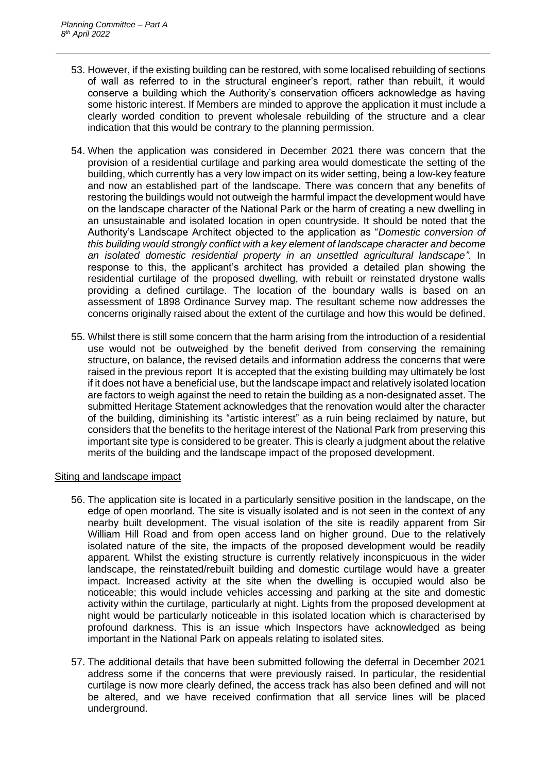- 53. However, if the existing building can be restored, with some localised rebuilding of sections of wall as referred to in the structural engineer's report, rather than rebuilt, it would conserve a building which the Authority's conservation officers acknowledge as having some historic interest. If Members are minded to approve the application it must include a clearly worded condition to prevent wholesale rebuilding of the structure and a clear indication that this would be contrary to the planning permission.
- 54. When the application was considered in December 2021 there was concern that the provision of a residential curtilage and parking area would domesticate the setting of the building, which currently has a very low impact on its wider setting, being a low-key feature and now an established part of the landscape. There was concern that any benefits of restoring the buildings would not outweigh the harmful impact the development would have on the landscape character of the National Park or the harm of creating a new dwelling in an unsustainable and isolated location in open countryside. It should be noted that the Authority's Landscape Architect objected to the application as "*Domestic conversion of this building would strongly conflict with a key element of landscape character and become an isolated domestic residential property in an unsettled agricultural landscape".* In response to this, the applicant's architect has provided a detailed plan showing the residential curtilage of the proposed dwelling, with rebuilt or reinstated drystone walls providing a defined curtilage. The location of the boundary walls is based on an assessment of 1898 Ordinance Survey map. The resultant scheme now addresses the concerns originally raised about the extent of the curtilage and how this would be defined.
- 55. Whilst there is still some concern that the harm arising from the introduction of a residential use would not be outweighed by the benefit derived from conserving the remaining structure, on balance, the revised details and information address the concerns that were raised in the previous report It is accepted that the existing building may ultimately be lost if it does not have a beneficial use, but the landscape impact and relatively isolated location are factors to weigh against the need to retain the building as a non-designated asset. The submitted Heritage Statement acknowledges that the renovation would alter the character of the building, diminishing its "artistic interest" as a ruin being reclaimed by nature, but considers that the benefits to the heritage interest of the National Park from preserving this important site type is considered to be greater. This is clearly a judgment about the relative merits of the building and the landscape impact of the proposed development.

## Siting and landscape impact

- 56. The application site is located in a particularly sensitive position in the landscape, on the edge of open moorland. The site is visually isolated and is not seen in the context of any nearby built development. The visual isolation of the site is readily apparent from Sir William Hill Road and from open access land on higher ground. Due to the relatively isolated nature of the site, the impacts of the proposed development would be readily apparent. Whilst the existing structure is currently relatively inconspicuous in the wider landscape, the reinstated/rebuilt building and domestic curtilage would have a greater impact. Increased activity at the site when the dwelling is occupied would also be noticeable; this would include vehicles accessing and parking at the site and domestic activity within the curtilage, particularly at night. Lights from the proposed development at night would be particularly noticeable in this isolated location which is characterised by profound darkness. This is an issue which Inspectors have acknowledged as being important in the National Park on appeals relating to isolated sites.
- 57. The additional details that have been submitted following the deferral in December 2021 address some if the concerns that were previously raised. In particular, the residential curtilage is now more clearly defined, the access track has also been defined and will not be altered, and we have received confirmation that all service lines will be placed underground.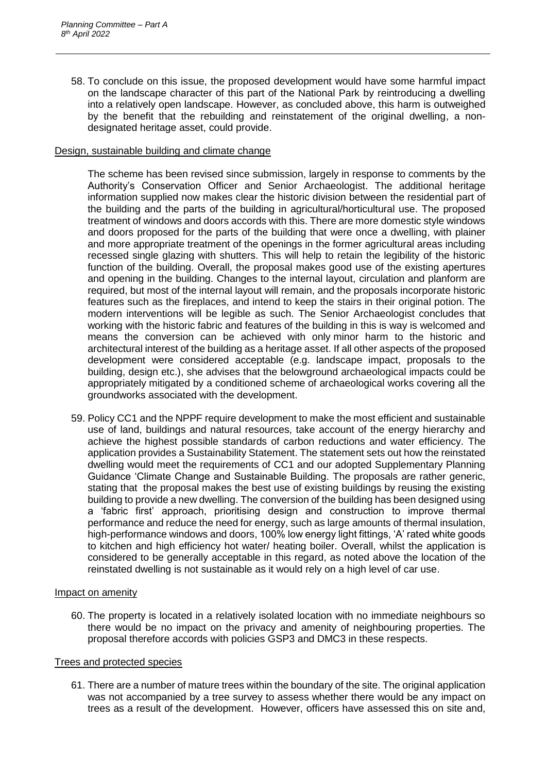58. To conclude on this issue, the proposed development would have some harmful impact on the landscape character of this part of the National Park by reintroducing a dwelling into a relatively open landscape. However, as concluded above, this harm is outweighed by the benefit that the rebuilding and reinstatement of the original dwelling, a nondesignated heritage asset, could provide.

## Design, sustainable building and climate change

The scheme has been revised since submission, largely in response to comments by the Authority's Conservation Officer and Senior Archaeologist. The additional heritage information supplied now makes clear the historic division between the residential part of the building and the parts of the building in agricultural/horticultural use. The proposed treatment of windows and doors accords with this. There are more domestic style windows and doors proposed for the parts of the building that were once a dwelling, with plainer and more appropriate treatment of the openings in the former agricultural areas including recessed single glazing with shutters. This will help to retain the legibility of the historic function of the building. Overall, the proposal makes good use of the existing apertures and opening in the building. Changes to the internal layout, circulation and planform are required, but most of the internal layout will remain, and the proposals incorporate historic features such as the fireplaces, and intend to keep the stairs in their original potion. The modern interventions will be legible as such. The Senior Archaeologist concludes that working with the historic fabric and features of the building in this is way is welcomed and means the conversion can be achieved with only minor harm to the historic and architectural interest of the building as a heritage asset. If all other aspects of the proposed development were considered acceptable (e.g. landscape impact, proposals to the building, design etc.), she advises that the belowground archaeological impacts could be appropriately mitigated by a conditioned scheme of archaeological works covering all the groundworks associated with the development.

59. Policy CC1 and the NPPF require development to make the most efficient and sustainable use of land, buildings and natural resources, take account of the energy hierarchy and achieve the highest possible standards of carbon reductions and water efficiency. The application provides a Sustainability Statement. The statement sets out how the reinstated dwelling would meet the requirements of CC1 and our adopted Supplementary Planning Guidance 'Climate Change and Sustainable Building. The proposals are rather generic, stating that the proposal makes the best use of existing buildings by reusing the existing building to provide a new dwelling. The conversion of the building has been designed using a 'fabric first' approach, prioritising design and construction to improve thermal performance and reduce the need for energy, such as large amounts of thermal insulation, high-performance windows and doors, 100% low energy light fittings, 'A' rated white goods to kitchen and high efficiency hot water/ heating boiler. Overall, whilst the application is considered to be generally acceptable in this regard, as noted above the location of the reinstated dwelling is not sustainable as it would rely on a high level of car use.

#### Impact on amenity

60. The property is located in a relatively isolated location with no immediate neighbours so there would be no impact on the privacy and amenity of neighbouring properties. The proposal therefore accords with policies GSP3 and DMC3 in these respects.

#### Trees and protected species

61. There are a number of mature trees within the boundary of the site. The original application was not accompanied by a tree survey to assess whether there would be any impact on trees as a result of the development. However, officers have assessed this on site and,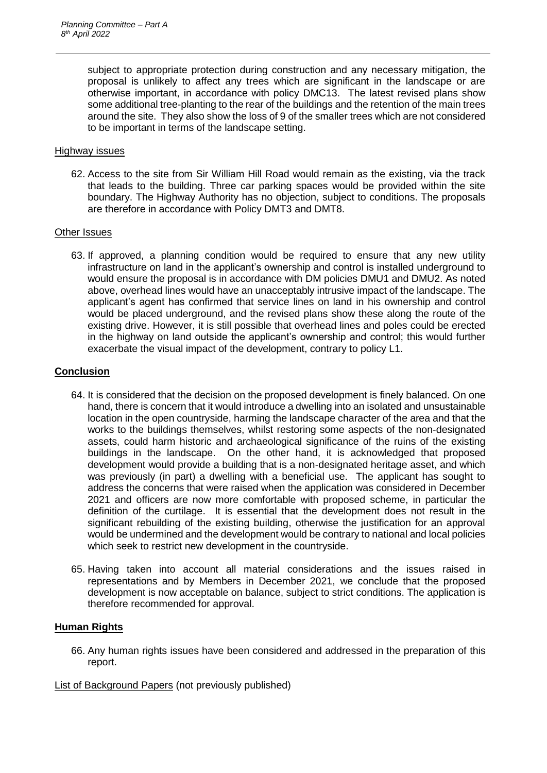subject to appropriate protection during construction and any necessary mitigation, the proposal is unlikely to affect any trees which are significant in the landscape or are otherwise important, in accordance with policy DMC13. The latest revised plans show some additional tree-planting to the rear of the buildings and the retention of the main trees around the site. They also show the loss of 9 of the smaller trees which are not considered to be important in terms of the landscape setting.

## Highway issues

62. Access to the site from Sir William Hill Road would remain as the existing, via the track that leads to the building. Three car parking spaces would be provided within the site boundary. The Highway Authority has no objection, subject to conditions. The proposals are therefore in accordance with Policy DMT3 and DMT8.

## Other Issues

63. If approved, a planning condition would be required to ensure that any new utility infrastructure on land in the applicant's ownership and control is installed underground to would ensure the proposal is in accordance with DM policies DMU1 and DMU2. As noted above, overhead lines would have an unacceptably intrusive impact of the landscape. The applicant's agent has confirmed that service lines on land in his ownership and control would be placed underground, and the revised plans show these along the route of the existing drive. However, it is still possible that overhead lines and poles could be erected in the highway on land outside the applicant's ownership and control; this would further exacerbate the visual impact of the development, contrary to policy L1.

## **Conclusion**

- 64. It is considered that the decision on the proposed development is finely balanced. On one hand, there is concern that it would introduce a dwelling into an isolated and unsustainable location in the open countryside, harming the landscape character of the area and that the works to the buildings themselves, whilst restoring some aspects of the non-designated assets, could harm historic and archaeological significance of the ruins of the existing buildings in the landscape. On the other hand, it is acknowledged that proposed development would provide a building that is a non-designated heritage asset, and which was previously (in part) a dwelling with a beneficial use. The applicant has sought to address the concerns that were raised when the application was considered in December 2021 and officers are now more comfortable with proposed scheme, in particular the definition of the curtilage. It is essential that the development does not result in the significant rebuilding of the existing building, otherwise the justification for an approval would be undermined and the development would be contrary to national and local policies which seek to restrict new development in the countryside.
- 65. Having taken into account all material considerations and the issues raised in representations and by Members in December 2021, we conclude that the proposed development is now acceptable on balance, subject to strict conditions. The application is therefore recommended for approval.

## **Human Rights**

66. Any human rights issues have been considered and addressed in the preparation of this report.

List of Background Papers (not previously published)